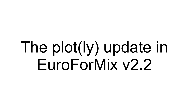# The plot(ly) update in EuroForMix v2.2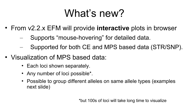# What's new?

- From v2.2.x EFM will provide **interactive** plots in browser
	- Supports "mouse-hovering" for detailed data.
	- Supported for both CE and MPS based data (STR/SNP).
- Visualization of MPS based data:
	- Each loci shown separately.
	- Any number of loci possible\*.
	- Possible to group different alleles on same allele types (examples next slide)

\*but 100s of loci will take long time to visualize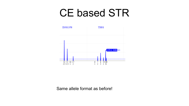#### CE based STR



Same allele format as before!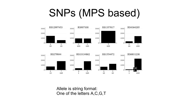### SNPs (MPS based)





Allele is string format: One of the letters A,C,G,T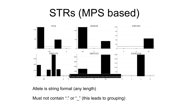# STRs (MPS based)



Allele is string format (any length)

Must not contain ":" or "\_" (this leads to grouping)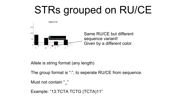# STRs grouped on RU/CE



Allele is string format (any length)

The group format is ":", to seperate RU/CE from sequence.

Must not contain " "

```
Example: "13:TCTA TCTG (TCTA)11"
```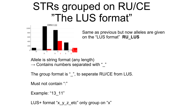#### STRs grouped on RU/CE "The LUS format"



Same as previous but now alleles are given on the "LUS format" **RU\_LUS**

Allele is string format (any length)  $\rightarrow$  Contains numbers separated with " "

The group format is " ", to seperate RU/CE from LUS.

Must not contain ":"

Example: "13\_11"

LUS+ format " $x \vee z$  etc" only group on "x"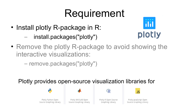# Requirement

- Install plotly R-package in R:
	- install.packages("plotly")
- Remove the plotly R-package to avoid showing the interactive visualizations:
	- remove.packages("plotly")

Plotly provides open-source visualization libraries for